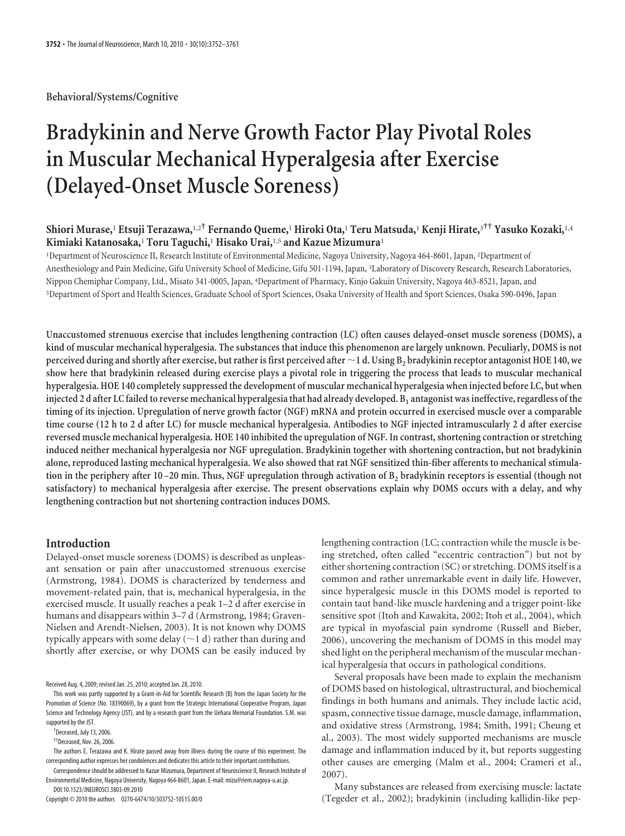**Behavioral/Systems/Cognitive**

# **Bradykinin and Nerve Growth Factor Play Pivotal Roles in Muscular Mechanical Hyperalgesia after Exercise (Delayed-Onset Muscle Soreness)**

# **Shiori Murase,**<sup>1</sup> **Etsuji Terazawa,**1,2**† Fernando Queme,**<sup>1</sup> **Hiroki Ota,**<sup>1</sup> **Teru Matsuda,**<sup>1</sup> **Kenji Hirate,**<sup>3</sup>**†† Yasuko Kozaki,**1,4 **Kimiaki Katanosaka,**<sup>1</sup> **Toru Taguchi,**<sup>1</sup> **Hisako Urai,**1,5 **and Kazue Mizumura**<sup>1</sup>

<sup>1</sup>Department of Neuroscience II, Research Institute of Environmental Medicine, Nagoya University, Nagoya 464-8601, Japan, <sup>2</sup>Department of Anesthesiology and Pain Medicine, Gifu University School of Medicine, Gifu 501-1194, Japan, <sup>3</sup> Laboratory of Discovery Research, Research Laboratories, Nippon Chemiphar Company, Ltd., Misato 341-0005, Japan, <sup>4</sup> Department of Pharmacy, Kinjo Gakuin University, Nagoya 463-8521, Japan, and 5 Department of Sport and Health Sciences, Graduate School of Sport Sciences, Osaka University of Health and Sport Sciences, Osaka 590-0496, Japan

**Unaccustomed strenuous exercise that includes lengthening contraction (LC) often causes delayed-onset muscle soreness (DOMS), a kind of muscular mechanical hyperalgesia. The substances that induce this phenomenon are largely unknown. Peculiarly, DOMS is not perceived during and shortly after exercise, but rather is first perceived after 1 d. Using B2 bradykinin receptor antagonist HOE 140, we show here that bradykinin released during exercise plays a pivotal role in triggering the process that leads to muscular mechanical hyperalgesia. HOE 140 completely suppressed the development of muscular mechanical hyperalgesia when injected before LC, but when** injected 2 d after LC failed to reverse mechanical hyperalgesia that had already developed. B<sub>1</sub> antagonist was ineffective, regardless of the **timing of its injection. Upregulation of nerve growth factor (NGF) mRNA and protein occurred in exercised muscle over a comparable time course (12 h to 2 d after LC) for muscle mechanical hyperalgesia. Antibodies to NGF injected intramuscularly 2 d after exercise reversed muscle mechanical hyperalgesia. HOE 140 inhibited the upregulation of NGF. In contrast, shortening contraction or stretching induced neither mechanical hyperalgesia nor NGF upregulation. Bradykinin together with shortening contraction, but not bradykinin alone, reproduced lasting mechanical hyperalgesia. We also showed that rat NGF sensitized thin-fiber afferents to mechanical stimula**tion in the periphery after 10–20 min. Thus, NGF upregulation through activation of B<sub>2</sub> bradykinin receptors is essential (though not **satisfactory) to mechanical hyperalgesia after exercise. The present observations explain why DOMS occurs with a delay, and why lengthening contraction but not shortening contraction induces DOMS.**

## **Introduction**

Delayed-onset muscle soreness (DOMS) is described as unpleasant sensation or pain after unaccustomed strenuous exercise (Armstrong, 1984). DOMS is characterized by tenderness and movement-related pain, that is, mechanical hyperalgesia, in the exercised muscle. It usually reaches a peak 1–2 d after exercise in humans and disappears within 3–7 d (Armstrong, 1984; Graven-Nielsen and Arendt-Nielsen, 2003). It is not known why DOMS typically appears with some delay  $(\sim 1$  d) rather than during and shortly after exercise, or why DOMS can be easily induced by

Received Aug. 4, 2009; revised Jan. 25, 2010; accepted Jan. 28, 2010.

Copyright © 2010 the authors 0270-6474/10/303752-10\$15.00/0

lengthening contraction (LC; contraction while the muscle is being stretched, often called "eccentric contraction") but not by either shortening contraction (SC) or stretching. DOMS itself is a common and rather unremarkable event in daily life. However, since hyperalgesic muscle in this DOMS model is reported to contain taut band-like muscle hardening and a trigger point-like sensitive spot (Itoh and Kawakita, 2002; Itoh et al., 2004), which are typical in myofascial pain syndrome (Russell and Bieber, 2006), uncovering the mechanism of DOMS in this model may shed light on the peripheral mechanism of the muscular mechanical hyperalgesia that occurs in pathological conditions.

Several proposals have been made to explain the mechanism of DOMS based on histological, ultrastructural, and biochemical findings in both humans and animals. They include lactic acid, spasm, connective tissue damage, muscle damage, inflammation, and oxidative stress (Armstrong, 1984; Smith, 1991; Cheung et al., 2003). The most widely supported mechanisms are muscle damage and inflammation induced by it, but reports suggesting other causes are emerging (Malm et al., 2004; Crameri et al., 2007).

Many substances are released from exercising muscle: lactate (Tegeder et al., 2002); bradykinin (including kallidin-like pep-

This work was partly supported by a Grant-in-Aid for Scientific Research (B) from the Japan Society for the Promotion of Science (No. 18390069), by a grant from the Strategic International Cooperative Program, Japan Science and Technology Agency (JST), and by a research grant from the Uehara Memorial Foundation. S.M. was supported by the JST.

<sup>†</sup> Deceased, July 13, 2006.

<sup>††</sup>Deceased, Nov. 26, 2006.

The authors E. Terazawa and K. Hirate passed away from illness during the course of this experiment. The corresponding author expresses her condolences and dedicates this article to their important contributions.

Correspondence should be addressed to Kazue Mizumura, Department of Neuroscience II, Research Institute of Environmental Medicine, Nagoya University, Nagoya 464-8601, Japan. E-mail: mizu@riem.nagoya-u.ac.jp. DOI:10.1523/JNEUROSCI.3803-09.2010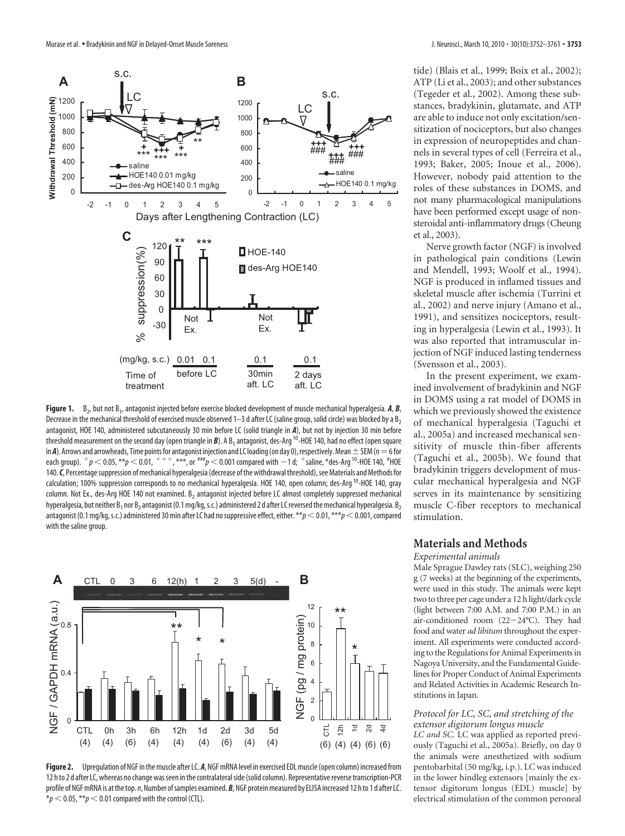

**Figure 1.** B<sub>2</sub>, but not B<sub>1</sub>, antagonist injected before exercise blocked development of muscle mechanical hyperalgesia. **A**, **B**, Decrease in the mechanical threshold of exercised muscle observed  $1-3$  d after LC (saline group, solid circle) was blocked by a  $B_2$ antagonist, HOE 140, administered subcutaneously 30 min before LC (solid triangle in *A*), but not by injection 30 min before threshold measurement on the second day (open triangle in *B*). A B<sub>1</sub> antagonist, des-Arg<sup>10</sup>-HOE 140, had no effect (open square in *A*). Arrows and arrowheads, Time points for antagonist injection and LC loading (on day 0), respectively. Mean  $\pm$  SEM ( $n=6$  for each group).  $^+p$   $<$  0.05,  $^{**}p$   $<$  0.01,  $^+ + ^,$   $^{***}$ , or  $^{***}p$   $<$  0.001 compared with  $-1$  d;  $^+$ saline,  $^*$ des-Arg <sup>10</sup>-HOE 140,  $^{\#}$ HOE 140. C, Percentage suppression of mechanical hyperalgesia (decrease of the withdrawal threshold), see Materials and Methods for calculation; 100% suppression corresponds to no mechanical hyperalgesia. HOE 140, open column; des-Arg<sup>10</sup>-HOE 140, gray column. Not Ex., des-Arg HOE 140 not examined. B<sub>2</sub> antagonist injected before LC almost completely suppressed mechanical hyperalgesia, but neither  $B_1$  nor  $B_2$  antagonist (0.1 mg/kg, s.c.) administered 2 d after LC reversed the mechanical hyperalgesia. B<sub>2</sub> antagonist (0.1 mg/kg, s.c.) administered 30 min after LC had no suppressive effect, either. \*\*p < 0.01, \*\*\*p < 0.001, compared with the saline group.



**Figure 2.** Upregulation of NGF inthe muscle after LC. *A*, NGF mRNA level in exercised EDL muscle(open column) increased from 12 hto 2 d after LC, whereas no change wasseen inthe contralateralside(solid column). Representative reversetranscription-PCR profile of NGF mRNA is at the top. *n*, Number of samples examined. *B*, NGF protein measured by ELISA increased 12 hto 1 d after LC.  $*p$  < 0.05,  $**p$  < 0.01 compared with the control (CTL).

tide) (Blais et al., 1999; Boix et al., 2002); ATP (Li et al., 2003); and other substances (Tegeder et al., 2002). Among these substances, bradykinin, glutamate, and ATP are able to induce not only excitation/sensitization of nociceptors, but also changes in expression of neuropeptides and channels in several types of cell (Ferreira et al., 1993; Baker, 2005; Inoue et al., 2006). However, nobody paid attention to the roles of these substances in DOMS, and not many pharmacological manipulations have been performed except usage of nonsteroidal anti-inflammatory drugs (Cheung et al., 2003).

Nerve growth factor (NGF) is involved in pathological pain conditions (Lewin and Mendell, 1993; Woolf et al., 1994). NGF is produced in inflamed tissues and skeletal muscle after ischemia (Turrini et al., 2002) and nerve injury (Amano et al., 1991), and sensitizes nociceptors, resulting in hyperalgesia (Lewin et al., 1993). It was also reported that intramuscular injection of NGF induced lasting tenderness (Svensson et al., 2003).

In the present experiment, we examined involvement of bradykinin and NGF in DOMS using a rat model of DOMS in which we previously showed the existence of mechanical hyperalgesia (Taguchi et al., 2005a) and increased mechanical sensitivity of muscle thin-fiber afferents (Taguchi et al., 2005b). We found that bradykinin triggers development of muscular mechanical hyperalgesia and NGF serves in its maintenance by sensitizing muscle C-fiber receptors to mechanical stimulation.

## **Materials and Methods**

*Experimental animals*

Male Sprague Dawley rats (SLC), weighing 250 g (7 weeks) at the beginning of the experiments, were used in this study. The animals were kept two to three per cage under a 12 h light/dark cycle (light between 7:00 A.M. and 7:00 P.M.) in an air-conditioned room (22-24°C). They had food and water *ad libitum* throughout the experiment. All experiments were conducted according to the Regulations for Animal Experiments in Nagoya University, and the Fundamental Guidelines for Proper Conduct of Animal Experiments and Related Activities in Academic Research Institutions in Japan.

## *Protocol for LC, SC, and stretching of the extensor digitorum longus muscle*

*LC and SC.* LC was applied as reported previously (Taguchi et al., 2005a). Briefly, on day 0 the animals were anesthetized with sodium pentobarbital (50 mg/kg, i.p.). LC was induced in the lower hindleg extensors [mainly the extensor digitorum longus (EDL) muscle] by electrical stimulation of the common peroneal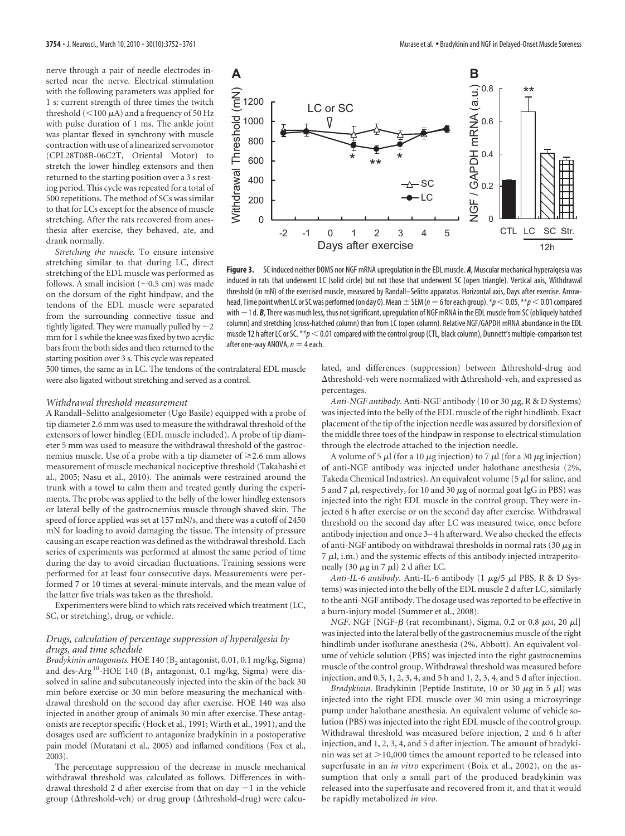nerve through a pair of needle electrodes inserted near the nerve. Electrical stimulation with the following parameters was applied for 1 s: current strength of three times the twitch threshold ( $\leq$ 100  $\mu$ A) and a frequency of 50 Hz with pulse duration of 1 ms. The ankle joint was plantar flexed in synchrony with muscle contraction with use of a linearized servomotor (CPL28T08B-06C2T, Oriental Motor) to stretch the lower hindleg extensors and then returned to the starting position over a 3 s resting period. This cycle was repeated for a total of 500 repetitions. The method of SCs was similar to that for LCs except for the absence of muscle stretching. After the rats recovered from anesthesia after exercise, they behaved, ate, and drank normally.

*Stretching the muscle.* To ensure intensive stretching similar to that during LC, direct stretching of the EDL muscle was performed as follows. A small incision  $(\sim 0.5 \text{ cm})$  was made on the dorsum of the right hindpaw, and the tendons of the EDL muscle were separated from the surrounding connective tissue and tightly ligated. They were manually pulled by  $\sim$  2 mmfor 1 s while the knee wasfixed by two acrylic bars from the both sides and then returned to the starting position over 3 s. This cycle was repeated



**Figure 3.** SC induced neither DOMS nor NGF mRNA upregulation in the EDL muscle. *A*, Muscular mechanical hyperalgesia was induced in rats that underwent LC (solid circle) but not those that underwent SC (open triangle). Vertical axis, Withdrawal threshold (in mN) of the exercised muscle, measured by Randall–Selitto apparatus. Horizontal axis, Days after exercise. Arrowhead, Time point when LC or SC was performed (on day 0). Mean  $\pm$  SEM ( $n=6$  for each group).  $*p<$  0.05,  $**p<$  0.01 compared with  $-1$  d.  $B$ , There was much less, thus not significant, upregulation of NGF mRNA in the EDL muscle from SC (obliquely hatched column) and stretching (cross-hatched column) than from LC (open column). Relative NGF/GAPDH mRNA abundance in the EDL muscle 12 h after LC or SC. \*\* $p < 0.01$  compared with the control group (CTL, black column), Dunnett's multiple-comparison test after one-way ANOVA,  $n = 4$  each.

500 times, the same as in LC. The tendons of the contralateral EDL muscle were also ligated without stretching and served as a control.

#### *Withdrawal threshold measurement*

A Randall–Selitto analgesiometer (Ugo Basile) equipped with a probe of tip diameter 2.6 mm was used to measure the withdrawal threshold of the extensors of lower hindleg (EDL muscle included). A probe of tip diameter 5 mm was used to measure the withdrawal threshold of the gastrocnemius muscle. Use of a probe with a tip diameter of  $\geq$  2.6 mm allows measurement of muscle mechanical nociceptive threshold (Takahashi et al., 2005; Nasu et al., 2010). The animals were restrained around the trunk with a towel to calm them and treated gently during the experiments. The probe was applied to the belly of the lower hindleg extensors or lateral belly of the gastrocnemius muscle through shaved skin. The speed of force applied was set at 157 mN/s, and there was a cutoff of 2450 mN for loading to avoid damaging the tissue. The intensity of pressure causing an escape reaction was defined as the withdrawal threshold. Each series of experiments was performed at almost the same period of time during the day to avoid circadian fluctuations. Training sessions were performed for at least four consecutive days. Measurements were performed 7 or 10 times at several-minute intervals, and the mean value of the latter five trials was taken as the threshold.

Experimenters were blind to which rats received which treatment (LC, SC, or stretching), drug, or vehicle.

## *Drugs, calculation of percentage suppression of hyperalgesia by drugs, and time schedule*

*Bradykinin antagonists.* HOE 140 (B<sub>2</sub> antagonist, 0.01, 0.1 mg/kg, Sigma) and des-Arg<sup>10</sup>-HOE 140 ( $B_1$  antagonist, 0.1 mg/kg, Sigma) were dissolved in saline and subcutaneously injected into the skin of the back 30 min before exercise or 30 min before measuring the mechanical withdrawal threshold on the second day after exercise. HOE 140 was also injected in another group of animals 30 min after exercise. These antagonists are receptor specific (Hock et al., 1991; Wirth et al., 1991), and the dosages used are sufficient to antagonize bradykinin in a postoperative pain model (Muratani et al., 2005) and inflamed conditions (Fox et al., 2003).

The percentage suppression of the decrease in muscle mechanical withdrawal threshold was calculated as follows. Differences in withdrawal threshold 2 d after exercise from that on day  $-1$  in the vehicle group ( $\Delta$ threshold-veh) or drug group ( $\Delta$ threshold-drug) were calculated, and differences (suppression) between  $\Delta$ threshold-drug and  $\Delta$ threshold-veh were normalized with  $\Delta$ threshold-veh, and expressed as percentages.

Anti-NGF antibody. Anti-NGF antibody (10 or 30  $\mu$ g, R & D Systems) was injected into the belly of the EDL muscle of the right hindlimb. Exact placement of the tip of the injection needle was assured by dorsiflexion of the middle three toes of the hindpaw in response to electrical stimulation through the electrode attached to the injection needle.

A volume of 5  $\mu$  (for a 10  $\mu$ g injection) to 7  $\mu$  (for a 30  $\mu$ g injection) of anti-NGF antibody was injected under halothane anesthesia (2%, Takeda Chemical Industries). An equivalent volume (5  $\mu$ l for saline, and 5 and 7  $\mu$ l, respectively, for 10 and 30  $\mu$ g of normal goat IgG in PBS) was injected into the right EDL muscle in the control group. They were injected 6 h after exercise or on the second day after exercise. Withdrawal threshold on the second day after LC was measured twice, once before antibody injection and once 3– 4 h afterward. We also checked the effects of anti-NGF antibody on withdrawal thresholds in normal rats (30  $\mu$ g in  $7 \mu$ l, i.m.) and the systemic effects of this antibody injected intraperitoneally (30  $\mu$ g in 7  $\mu$ l) 2 d after LC.

*Anti-IL-6 antibody*. Anti-IL-6 antibody (1  $\mu$ g/5  $\mu$ l PBS, R & D Systems) was injected into the belly of the EDL muscle 2 d after LC, similarly to the anti-NGF antibody. The dosage used was reported to be effective in a burn-injury model (Summer et al., 2008).

*NGF*. NGF [NGF- $\beta$  (rat recombinant), Sigma, 0.2 or 0.8  $\mu$ M, 20  $\mu$ l] was injected into the lateral belly of the gastrocnemius muscle of the right hindlimb under isoflurane anesthesia (2%, Abbott). An equivalent volume of vehicle solution (PBS) was injected into the right gastrocnemius muscle of the control group. Withdrawal threshold was measured before injection, and 0.5, 1, 2, 3, 4, and 5 h and 1, 2, 3, 4, and 5 d after injection.

*Bradykinin*. Bradykinin (Peptide Institute, 10 or 30  $\mu$ g in 5  $\mu$ l) was injected into the right EDL muscle over 30 min using a microsyringe pump under halothane anesthesia. An equivalent volume of vehicle solution (PBS) was injected into the right EDL muscle of the control group. Withdrawal threshold was measured before injection, 2 and 6 h after injection, and 1, 2, 3, 4, and 5 d after injection. The amount of bradykinin was set at  $>$ 10,000 times the amount reported to be released into superfusate in an *in vitro* experiment (Boix et al., 2002), on the assumption that only a small part of the produced bradykinin was released into the superfusate and recovered from it, and that it would be rapidly metabolized *in vivo*.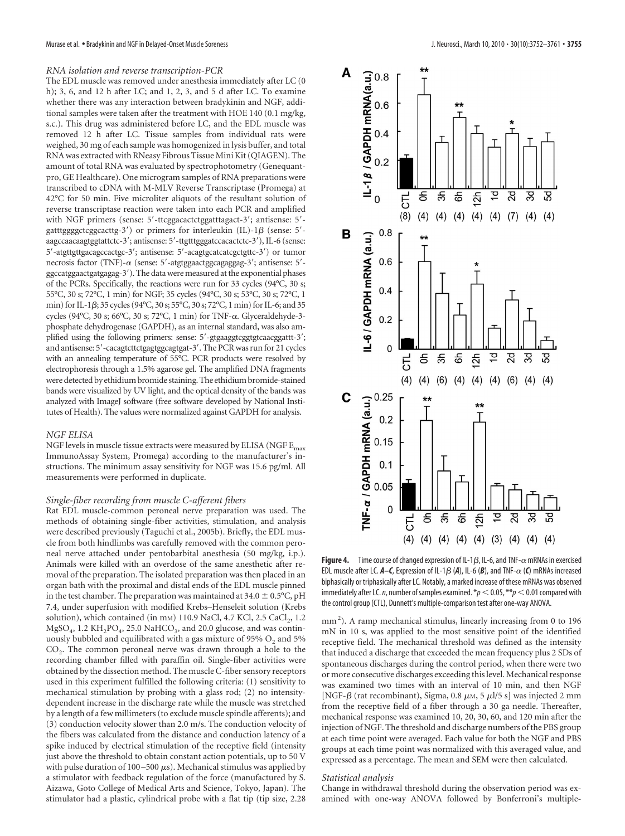#### *RNA isolation and reverse transcription-PCR*

The EDL muscle was removed under anesthesia immediately after LC (0 h); 3, 6, and 12 h after LC; and 1, 2, 3, and 5 d after LC. To examine whether there was any interaction between bradykinin and NGF, additional samples were taken after the treatment with HOE 140 (0.1 mg/kg, s.c.). This drug was administered before LC, and the EDL muscle was removed 12 h after LC. Tissue samples from individual rats were weighed, 30 mg of each sample was homogenized in lysis buffer, and total RNA was extracted with RNeasy Fibrous Tissue Mini Kit (QIAGEN). The amount of total RNA was evaluated by spectrophotometry (Genequantpro, GE Healthcare). One microgram samples of RNA preparations were transcribed to cDNA with M-MLV Reverse Transcriptase (Promega) at 42°C for 50 min. Five microliter aliquots of the resultant solution of reverse transcriptase reaction were taken into each PCR and amplified with NGF primers (sense: 5'-ttcggacactctggatttagact-3'; antisense: 5'gatttggggctcggcacttg-3') or primers for interleukin (IL)-1 $\beta$  (sense: 5'aagccaacaagtggtattctc-3'; antisense: 5'-ttgtttgggatccacactctc-3'), IL-6 (sense: 5 -atgttgttgacagccactgc-3 ; antisense: 5 -acagtgcatcatcgctgttc-3 ) or tumor necrosis factor (TNF)- $\alpha$  (sense: 5'-atgtggaactggcagaggag-3'; antisense: 5'ggccatggaactgatgagag-3 ). The data were measured at the exponential phases of the PCRs. Specifically, the reactions were run for 33 cycles (94°C, 30 s; 55°C, 30 s; 72°C, 1 min) for NGF; 35 cycles (94°C, 30 s; 53°C, 30 s; 72°C, 1 min) for IL-1 $\beta$ ; 35 cycles (94°C, 30 s; 55°C, 30 s; 72°C, 1 min) for IL-6; and 35 cycles (94°C, 30 s; 66°C, 30 s; 72°C, 1 min) for TNF-α. Glyceraldehyde-3phosphate dehydrogenase (GAPDH), as an internal standard, was also amplified using the following primers: sense: 5'-gtgaaggtcggtgtcaacggattt-3'; and antisense: 5'-cacagtcttctgagtggcagtgat-3'. The PCR was run for 21 cycles with an annealing temperature of 55°C. PCR products were resolved by electrophoresis through a 1.5% agarose gel. The amplified DNA fragments were detected by ethidium bromide staining. The ethidium bromide-stained bands were visualized by UV light, and the optical density of the bands was analyzed with ImageJ software (free software developed by National Institutes of Health). The values were normalized against GAPDH for analysis.

#### *NGF ELISA*

NGF levels in muscle tissue extracts were measured by ELISA (NGF  $E_{\rm max}$ ImmunoAssay System, Promega) according to the manufacturer's instructions. The minimum assay sensitivity for NGF was 15.6 pg/ml. All measurements were performed in duplicate.

#### *Single-fiber recording from muscle C-afferent fibers*

Rat EDL muscle-common peroneal nerve preparation was used. The methods of obtaining single-fiber activities, stimulation, and analysis were described previously (Taguchi et al., 2005b). Briefly, the EDL muscle from both hindlimbs was carefully removed with the common peroneal nerve attached under pentobarbital anesthesia (50 mg/kg, i.p.). Animals were killed with an overdose of the same anesthetic after removal of the preparation. The isolated preparation was then placed in an organ bath with the proximal and distal ends of the EDL muscle pinned in the test chamber. The preparation was maintained at  $34.0 \pm 0.5$ °C, pH 7.4, under superfusion with modified Krebs–Henseleit solution (Krebs solution), which contained (in  $mm$ ) 110.9 NaCl, 4.7 KCl, 2.5 CaCl<sub>2</sub>, 1.2  $MgSO_4$ , 1.2 KH<sub>2</sub>PO<sub>4</sub>, 25.0 NaHCO<sub>3</sub>, and 20.0 glucose, and was continuously bubbled and equilibrated with a gas mixture of 95%  $O_2$  and 5%  $CO<sub>2</sub>$ . The common peroneal nerve was drawn through a hole to the recording chamber filled with paraffin oil. Single-fiber activities were obtained by the dissection method. The muscle C-fiber sensory receptors used in this experiment fulfilled the following criteria: (1) sensitivity to mechanical stimulation by probing with a glass rod; (2) no intensitydependent increase in the discharge rate while the muscle was stretched by a length of a few millimeters (to exclude muscle spindle afferents); and (3) conduction velocity slower than 2.0 m/s. The conduction velocity of the fibers was calculated from the distance and conduction latency of a spike induced by electrical stimulation of the receptive field (intensity just above the threshold to obtain constant action potentials, up to 50 V with pulse duration of 100-500  $\mu$ s). Mechanical stimulus was applied by a stimulator with feedback regulation of the force (manufactured by S. Aizawa, Goto College of Medical Arts and Science, Tokyo, Japan). The stimulator had a plastic, cylindrical probe with a flat tip (tip size, 2.28



**Figure 4.** Time course of changed expression of IL-1 $\beta$ , IL-6, and TNF- $\alpha$  mRNAs in exercised EDL muscle after LC.  $A-C$ , Expression of IL-1 $\beta$  (A), IL-6 (B), and TNF- $\alpha$  (C) mRNAs increased biphasically or triphasically after LC. Notably, a marked increase of these mRNAs was observed immediately after LC. *n*, number of samples examined.  $*p < 0.05$ ,  $**p < 0.01$  compared with the control group (CTL), Dunnett's multiple-comparison test after one-way ANOVA.

mm<sup>2</sup>). A ramp mechanical stimulus, linearly increasing from 0 to 196 mN in 10 s, was applied to the most sensitive point of the identified receptive field. The mechanical threshold was defined as the intensity that induced a discharge that exceeded the mean frequency plus 2 SDs of spontaneous discharges during the control period, when there were two or more consecutive discharges exceeding this level. Mechanical response was examined two times with an interval of 10 min, and then NGF [NGF- $\beta$  (rat recombinant), Sigma, 0.8  $\mu$ M, 5  $\mu$ l/5 s] was injected 2 mm from the receptive field of a fiber through a 30 ga needle. Thereafter, mechanical response was examined 10, 20, 30, 60, and 120 min after the injection of NGF. The threshold and discharge numbers of the PBS group at each time point were averaged. Each value for both the NGF and PBS groups at each time point was normalized with this averaged value, and expressed as a percentage. The mean and SEM were then calculated.

#### *Statistical analysis*

Change in withdrawal threshold during the observation period was examined with one-way ANOVA followed by Bonferroni's multiple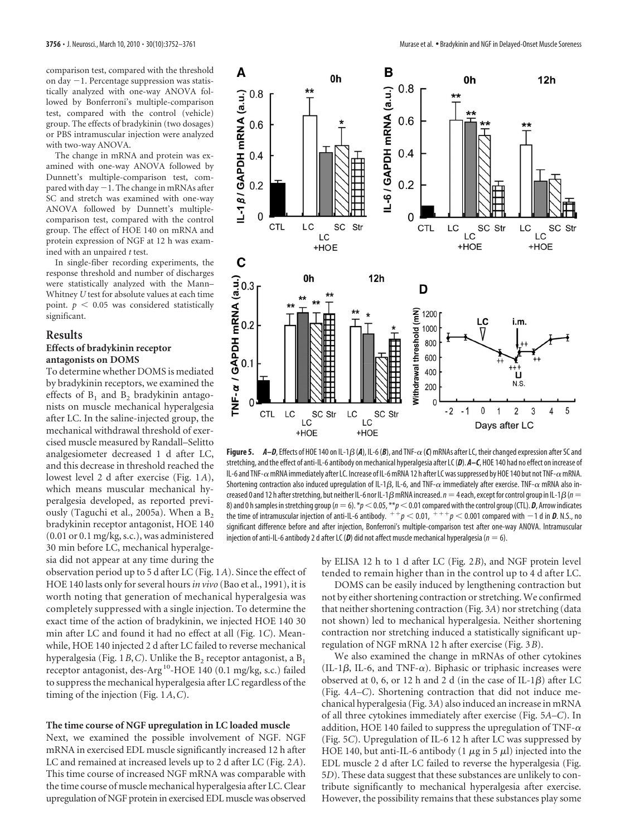comparison test, compared with the threshold on day -1. Percentage suppression was statistically analyzed with one-way ANOVA followed by Bonferroni's multiple-comparison test, compared with the control (vehicle) group. The effects of bradykinin (two dosages) or PBS intramuscular injection were analyzed with two-way ANOVA.

The change in mRNA and protein was examined with one-way ANOVA followed by Dunnett's multiple-comparison test, compared with day  $-1$ . The change in mRNAs after SC and stretch was examined with one-way ANOVA followed by Dunnett's multiplecomparison test, compared with the control group. The effect of HOE 140 on mRNA and protein expression of NGF at 12 h was examined with an unpaired *t* test.

In single-fiber recording experiments, the response threshold and number of discharges were statistically analyzed with the Mann– Whitney *U* test for absolute values at each time point.  $p < 0.05$  was considered statistically significant.

#### **Results**

## **Effects of bradykinin receptor antagonists on DOMS**

To determine whether DOMS is mediated by bradykinin receptors, we examined the effects of  $B_1$  and  $B_2$  bradykinin antagonists on muscle mechanical hyperalgesia after LC. In the saline-injected group, the mechanical withdrawal threshold of exercised muscle measured by Randall–Selitto analgesiometer decreased 1 d after LC, and this decrease in threshold reached the lowest level 2 d after exercise (Fig. 1*A*), which means muscular mechanical hyperalgesia developed, as reported previously (Taguchi et al., 2005a). When a  $B_2$ bradykinin receptor antagonist, HOE 140 (0.01 or 0.1 mg/kg, s.c.), was administered 30 min before LC, mechanical hyperalgesia did not appear at any time during the

observation period up to 5 d after LC (Fig. 1*A*). Since the effect of HOE 140 lasts only for several hours*in vivo* (Bao et al., 1991), it is worth noting that generation of mechanical hyperalgesia was completely suppressed with a single injection. To determine the exact time of the action of bradykinin, we injected HOE 140 30 min after LC and found it had no effect at all (Fig. 1*C*). Meanwhile, HOE 140 injected 2 d after LC failed to reverse mechanical hyperalgesia (Fig. 1B, C). Unlike the B<sub>2</sub> receptor antagonist, a B<sub>1</sub> receptor antagonist, des-Arg 10-HOE 140 (0.1 mg/kg, s.c.) failed to suppress the mechanical hyperalgesia after LC regardless of the timing of the injection (Fig. 1*A*,*C*).

## **The time course of NGF upregulation in LC loaded muscle**

Next, we examined the possible involvement of NGF. NGF mRNA in exercised EDL muscle significantly increased 12 h after LC and remained at increased levels up to 2 d after LC (Fig. 2*A*). This time course of increased NGF mRNA was comparable with the time course of muscle mechanical hyperalgesia after LC. Clear upregulation of NGF protein in exercised EDL muscle was observed



Figure 5. *A–D*, Effects of HOE 140 on IL-1 $\beta$  (A), IL-6 (B), and TNF- $\alpha$  (C) mRNAs after LC, their changed expression after SC and stretching, and the effect of anti-IL-6 antibody on mechanical hyperalgesia after LC (*D*). *A–C*, HOE 140 had no effect on increase of IL-6 and TNF- $\alpha$  mRNA immediately after LC. Increase of IL-6 mRNA 12 h after LC was suppressed by HOE 140 but not TNF- $\alpha$  mRNA. Shortening contraction also induced upregulation of IL-1 $\beta$ , IL-6, and TNF- $\alpha$  immediately after exercise. TNF- $\alpha$  mRNA also increased 0 and 12 h after stretching, but neither IL-6 nor IL-1 $\beta$  mRNA increased.  $n = 4$  each, except for control group in IL-1 $\beta$  ( $n =$ 8) and 0 h samples in stretching group ( $n=6$ ).  $*p<$  0.05,  $**p<$  0.01 compared with the control group (CTL). *D*, Arrow indicates the time of intramuscular injection of anti-IL-6 antibody.  $f^+p < 0.01$ ,  $f^+p < 0.001$  compared with  $-1$  d in  $\bm{D}$ . N.S., no significant difference before and after injection, Bonferroni's multiple-comparison test after one-way ANOVA. Intramuscular injection of anti-IL-6 antibody 2 d after LC (D) did not affect muscle mechanical hyperalgesia ( $n = 6$ ).

by ELISA 12 h to 1 d after LC (Fig. 2*B*), and NGF protein level tended to remain higher than in the control up to 4 d after LC.

DOMS can be easily induced by lengthening contraction but not by either shortening contraction or stretching. We confirmed that neither shortening contraction (Fig. 3*A*) nor stretching (data not shown) led to mechanical hyperalgesia. Neither shortening contraction nor stretching induced a statistically significant upregulation of NGF mRNA 12 h after exercise (Fig. 3*B*).

We also examined the change in mRNAs of other cytokines (IL-1 $\beta$ , IL-6, and TNF- $\alpha$ ). Biphasic or triphasic increases were observed at 0, 6, or 12 h and 2 d (in the case of IL-1 $\beta$ ) after LC (Fig. 4*A–C*). Shortening contraction that did not induce mechanical hyperalgesia (Fig. 3*A*) also induced an increase in mRNA of all three cytokines immediately after exercise (Fig. 5*A–C*). In addition, HOE 140 failed to suppress the upregulation of TNF- $\alpha$ (Fig. 5*C*). Upregulation of IL-6 12 h after LC was suppressed by HOE 140, but anti-IL-6 antibody (1  $\mu$ g in 5  $\mu$ ) injected into the EDL muscle 2 d after LC failed to reverse the hyperalgesia (Fig. 5*D*). These data suggest that these substances are unlikely to contribute significantly to mechanical hyperalgesia after exercise. However, the possibility remains that these substances play some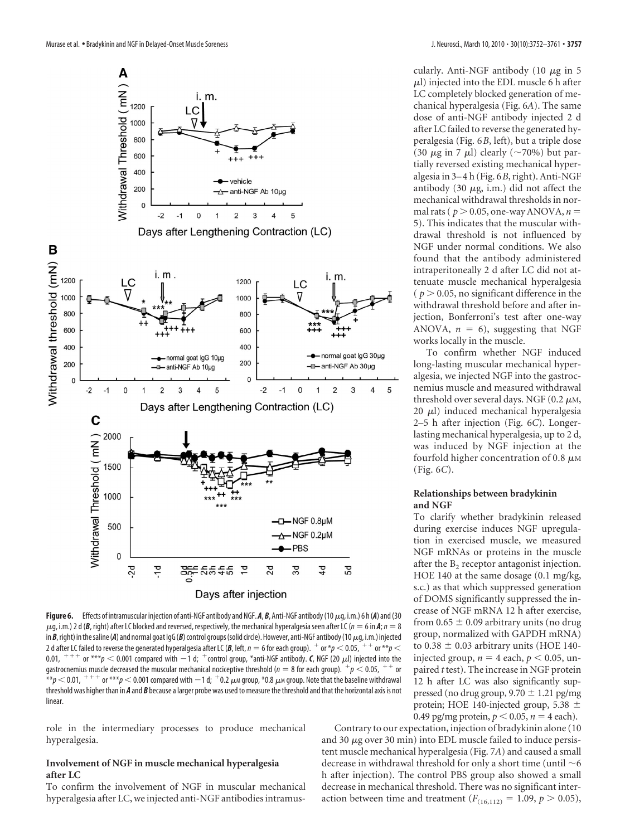

**Figure 6.** Effects of intramuscular injection of anti-NGF antibody and NGF. A, B, Anti-NGF antibody (10  $\mu$ g, i.m.) 6 h (A) and (30  $\mu$ g, i.m.) 2 d (*B*, right) after LC blocked and reversed, respectively, the mechanical hyperalgesia seen after LC ( $n = 6$  in *A*;  $n = 8$ in *B*, right) in the saline (A) and normal goat IgG (B) control groups (solid circle). However, anti-NGF antibody (10  $\mu$ g, i.m.) injected 2 d after LC failed to reverse the generated hyperalgesia after LC (B, left,  $n = 6$  for each group).  $+$  or  $*p < 0.05$ ,  $+$   $+$  or  $*p <$ 0.01,  $^{+++}$  or  $^{***}p <$  0.001 compared with  $-1$  d;  $^+$ control group, \*anti-NGF antibody. *C*, NGF (20  $\mu$ l) injected into the gastrocnemius muscle decreased the muscular mechanical nociceptive threshold ( $n = 8$  for each group).  $+p < 0.05$ ,  $++$  or  $^{**}$  $p$   $<$  0.01,  $^{+++}$  or  $^{***}$  $p$   $<$  0.001 compared with  $-$  1 d;  $^+$  0.2  $\mu$ m group, \*0.8  $\mu$ m group. Note that the baseline withdrawal threshold was higher than in *A* and *B* because a larger probe was used to measure the threshold and that the horizontal axis is not linear.

role in the intermediary processes to produce mechanical hyperalgesia.

## **Involvement of NGF in muscle mechanical hyperalgesia after LC**

To confirm the involvement of NGF in muscular mechanical hyperalgesia after LC, we injected anti-NGF antibodies intramuscularly. Anti-NGF antibody (10  $\mu$ g in 5  $\mu$ l) injected into the EDL muscle 6 h after LC completely blocked generation of mechanical hyperalgesia (Fig. 6*A*). The same dose of anti-NGF antibody injected 2 d after LC failed to reverse the generated hyperalgesia (Fig. 6*B*, left), but a triple dose (30  $\mu$ g in 7  $\mu$ l) clearly (~70%) but partially reversed existing mechanical hyperalgesia in 3–4 h (Fig. 6*B*, right). Anti-NGF antibody (30  $\mu$ g, i.m.) did not affect the mechanical withdrawal thresholds in normal rats ( $p > 0.05$ , one-way ANOVA,  $n =$ 5). This indicates that the muscular withdrawal threshold is not influenced by NGF under normal conditions. We also found that the antibody administered intraperitoneally 2 d after LC did not attenuate muscle mechanical hyperalgesia  $(p > 0.05$ , no significant difference in the withdrawal threshold before and after injection, Bonferroni's test after one-way ANOVA,  $n = 6$ ), suggesting that NGF works locally in the muscle.

To confirm whether NGF induced long-lasting muscular mechanical hyperalgesia, we injected NGF into the gastrocnemius muscle and measured withdrawal threshold over several days. NGF (0.2  $\mu$ M, 20  $\mu$ l) induced mechanical hyperalgesia 2–5 h after injection (Fig. 6*C*). Longerlasting mechanical hyperalgesia, up to 2 d, was induced by NGF injection at the fourfold higher concentration of 0.8  $\mu$ M (Fig. 6*C*).

## **Relationships between bradykinin and NGF**

To clarify whether bradykinin released during exercise induces NGF upregulation in exercised muscle, we measured NGF mRNAs or proteins in the muscle after the  $B<sub>2</sub>$  receptor antagonist injection. HOE 140 at the same dosage (0.1 mg/kg, s.c.) as that which suppressed generation of DOMS significantly suppressed the increase of NGF mRNA 12 h after exercise, from  $0.65 \pm 0.09$  arbitrary units (no drug group, normalized with GAPDH mRNA) to  $0.38 \pm 0.03$  arbitrary units (HOE 140injected group,  $n = 4$  each,  $p < 0.05$ , unpaired *t* test). The increase in NGF protein 12 h after LC was also significantly suppressed (no drug group,  $9.70 \pm 1.21$  pg/mg protein; HOE 140-injected group, 5.38  $\pm$ 0.49 pg/mg protein,  $p < 0.05$ ,  $n = 4$  each).

Contrary to our expectation, injection of bradykinin alone (10 and 30  $\mu$ g over 30 min) into EDL muscle failed to induce persistent muscle mechanical hyperalgesia (Fig. 7*A*) and caused a small decrease in withdrawal threshold for only a short time (until  $\sim$  6 h after injection). The control PBS group also showed a small decrease in mechanical threshold. There was no significant interaction between time and treatment  $(F_{(16,112)} = 1.09, p > 0.05)$ ,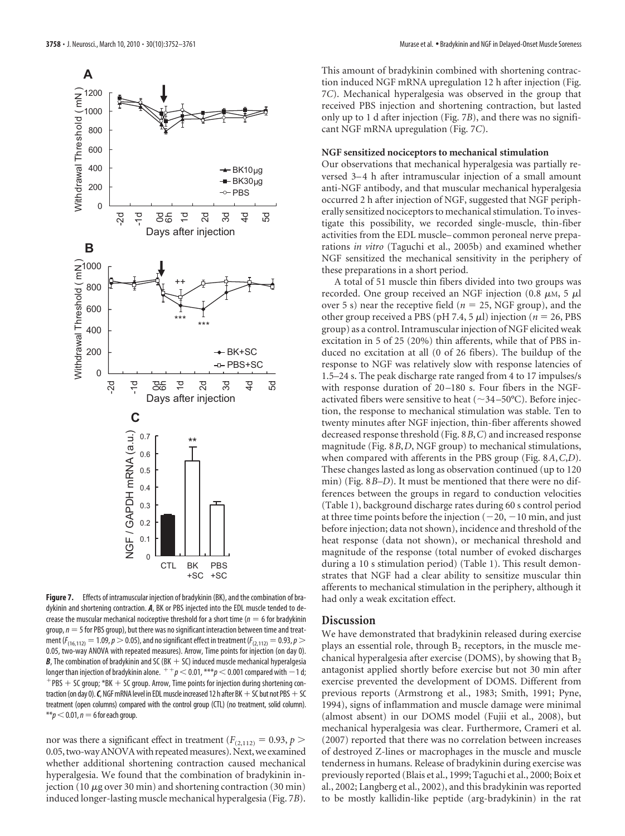

**Figure 7.** Effects of intramuscular injection of bradykinin (BK), and the combination of bradykinin and shortening contraction. *A*, BK or PBS injected into the EDL muscle tended to decrease the muscular mechanical nociceptive threshold for a short time ( $n = 6$  for bradykinin  $q$ roup,  $n = 5$  for PBS group), but there was no significant interaction between time and treatment ( $F_{(16,112)} = 1.09$ ,  $p > 0.05$ ), and no significant effect in treatment ( $F_{(2,112)} = 0.93$ ,  $p > 0.05$ 0.05, two-way ANOVA with repeated measures). Arrow, Time points for injection (on day 0).  $B$ , The combination of bradykinin and SC (BK  $+$  SC) induced muscle mechanical hyperalgesia longer than injection of bradykinin alone.  $p^+ + p < 0.01$ ,  $p^+ + p < 0.001$  compared with  $-1$  d;  $+$  PBS  $+$  SC group;  $*$ BK  $+$  SC group. Arrow, Time points for injection during shortening contraction (on day 0).  $C$ , NGF mRNA level in EDL muscle increased 12 h after BK  $+$  SC but not PBS  $+$  SC treatment (open columns) compared with the control group (CTL) (no treatment, solid column).  $**p<0.01$ ,  $n=6$  for each group.

nor was there a significant effect in treatment ( $F_{(2,112)} = 0.93$ ,  $p >$ 0.05, two-way ANOVA with repeated measures). Next, we examined whether additional shortening contraction caused mechanical hyperalgesia. We found that the combination of bradykinin injection (10  $\mu$ g over 30 min) and shortening contraction (30 min) induced longer-lasting muscle mechanical hyperalgesia (Fig. 7*B*). This amount of bradykinin combined with shortening contraction induced NGF mRNA upregulation 12 h after injection (Fig. 7*C*). Mechanical hyperalgesia was observed in the group that received PBS injection and shortening contraction, but lasted only up to 1 d after injection (Fig. 7*B*), and there was no significant NGF mRNA upregulation (Fig. 7*C*).

## **NGF sensitized nociceptors to mechanical stimulation**

Our observations that mechanical hyperalgesia was partially reversed 3–4 h after intramuscular injection of a small amount anti-NGF antibody, and that muscular mechanical hyperalgesia occurred 2 h after injection of NGF, suggested that NGF peripherally sensitized nociceptors to mechanical stimulation. To investigate this possibility, we recorded single-muscle, thin-fiber activities from the EDL muscle– common peroneal nerve preparations *in vitro* (Taguchi et al., 2005b) and examined whether NGF sensitized the mechanical sensitivity in the periphery of these preparations in a short period.

A total of 51 muscle thin fibers divided into two groups was recorded. One group received an NGF injection (0.8  $\mu$ M, 5  $\mu$ l over 5 s) near the receptive field ( $n = 25$ , NGF group), and the other group received a PBS ( $pH$  7.4, 5  $\mu$ ) injection ( $n = 26$ , PBS group) as a control. Intramuscular injection of NGF elicited weak excitation in 5 of 25 (20%) thin afferents, while that of PBS induced no excitation at all (0 of 26 fibers). The buildup of the response to NGF was relatively slow with response latencies of 1.5–24 s. The peak discharge rate ranged from 4 to 17 impulses/s with response duration of 20–180 s. Four fibers in the NGFactivated fibers were sensitive to heat ( $\sim$ 34-50°C). Before injection, the response to mechanical stimulation was stable. Ten to twenty minutes after NGF injection, thin-fiber afferents showed decreased response threshold (Fig. 8*B*,*C*) and increased response magnitude (Fig. 8*B*,*D*, NGF group) to mechanical stimulations, when compared with afferents in the PBS group (Fig. 8*A*,*C*,*D*). These changes lasted as long as observation continued (up to 120 min) (Fig. 8*B–D*). It must be mentioned that there were no differences between the groups in regard to conduction velocities (Table 1), background discharge rates during 60 s control period at three time points before the injection  $(-20, -10 \text{ min}, \text{and just})$ before injection; data not shown), incidence and threshold of the heat response (data not shown), or mechanical threshold and magnitude of the response (total number of evoked discharges during a 10 s stimulation period) (Table 1). This result demonstrates that NGF had a clear ability to sensitize muscular thin afferents to mechanical stimulation in the periphery, although it had only a weak excitation effect.

## **Discussion**

We have demonstrated that bradykinin released during exercise plays an essential role, through  $B<sub>2</sub>$  receptors, in the muscle mechanical hyperalgesia after exercise (DOMS), by showing that  $B_2$ antagonist applied shortly before exercise but not 30 min after exercise prevented the development of DOMS. Different from previous reports (Armstrong et al., 1983; Smith, 1991; Pyne, 1994), signs of inflammation and muscle damage were minimal (almost absent) in our DOMS model (Fujii et al., 2008), but mechanical hyperalgesia was clear. Furthermore, Crameri et al. (2007) reported that there was no correlation between increases of destroyed Z-lines or macrophages in the muscle and muscle tenderness in humans. Release of bradykinin during exercise was previously reported (Blais et al., 1999; Taguchi et al., 2000; Boix et al., 2002; Langberg et al., 2002), and this bradykinin was reported to be mostly kallidin-like peptide (arg-bradykinin) in the rat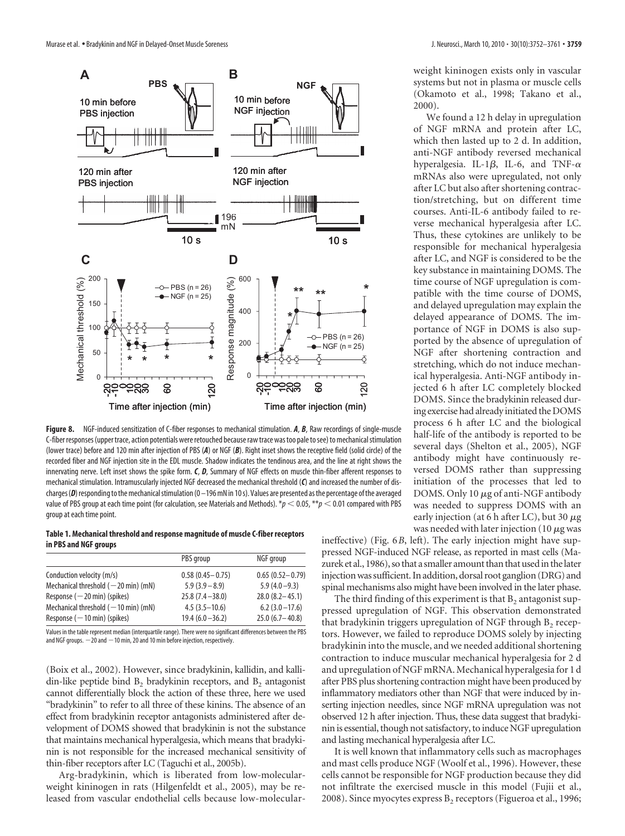

**Figure 8.** NGF-induced sensitization of C-fiber responses to mechanical stimulation. *A*, *B*, Raw recordings of single-muscle C-fiber responses (upper trace, action potentials were retouched because raw trace was too pale tosee) to mechanicalstimulation (lower trace) before and 120 min after injection of PBS (*A*) or NGF (*B*). Right inset shows the receptive field (solid circle) of the recorded fiber and NGF injection site in the EDL muscle. Shadow indicates the tendinous area, and the line at right shows the innervating nerve. Left inset shows the spike form. *C*, *D*, Summary of NGF effects on muscle thin-fiber afferent responses to mechanical stimulation. Intramuscularly injected NGF decreased the mechanical threshold (*C*) and increased the number of discharges (D) responding to the mechanical stimulation (0 – 196 mN in 10 s). Values are presented as the percentage of the averaged value of PBS group at each time point (for calculation, see Materials and Methods).  $*_p$  < 0.05,  $*_p$  < 0.01 compared with PBS group at each time point.

#### **Table 1. Mechanical threshold and response magnitude of muscle C-fiber receptors in PBS and NGF groups**

|                                               | PBS group           | NGF group           |
|-----------------------------------------------|---------------------|---------------------|
| Conduction velocity (m/s)                     | $0.58(0.45 - 0.75)$ | $0.65(0.52 - 0.79)$ |
| Mechanical threshold $(-20 \text{ min})$ (mN) | $5.9(3.9-8.9)$      | $5.9(4.0-9.3)$      |
| Response $(-20 \text{ min})$ (spikes)         | $25.8(7.4 - 38.0)$  | $28.0(8.2 - 45.1)$  |
| Mechanical threshold $(-10 \text{ min})$ (mN) | $4.5(3.5-10.6)$     | $6.2(3.0 - 17.6)$   |
| Response $(-10 \text{ min})$ (spikes)         | $19.4(6.0 - 36.2)$  | $25.0(6.7 - 40.8)$  |

Values in the table represent median (interquartile range). There were no significant differences between the PBS and NGF groups.  $-20$  and  $-10$  min, 20 and 10 min before injection, respectively.

(Boix et al., 2002). However, since bradykinin, kallidin, and kallidin-like peptide bind  $B_2$  bradykinin receptors, and  $B_2$  antagonist cannot differentially block the action of these three, here we used "bradykinin" to refer to all three of these kinins. The absence of an effect from bradykinin receptor antagonists administered after development of DOMS showed that bradykinin is not the substance that maintains mechanical hyperalgesia, which means that bradykinin is not responsible for the increased mechanical sensitivity of thin-fiber receptors after LC (Taguchi et al., 2005b).

Arg-bradykinin, which is liberated from low-molecularweight kininogen in rats (Hilgenfeldt et al., 2005), may be released from vascular endothelial cells because low-molecularweight kininogen exists only in vascular systems but not in plasma or muscle cells (Okamoto et al., 1998; Takano et al., 2000).

We found a 12 h delay in upregulation of NGF mRNA and protein after LC, which then lasted up to 2 d. In addition, anti-NGF antibody reversed mechanical hyperalgesia. IL-1 $\beta$ , IL-6, and TNF- $\alpha$ mRNAs also were upregulated, not only after LC but also after shortening contraction/stretching, but on different time courses. Anti-IL-6 antibody failed to reverse mechanical hyperalgesia after LC. Thus, these cytokines are unlikely to be responsible for mechanical hyperalgesia after LC, and NGF is considered to be the key substance in maintaining DOMS. The time course of NGF upregulation is compatible with the time course of DOMS, and delayed upregulation may explain the delayed appearance of DOMS. The importance of NGF in DOMS is also supported by the absence of upregulation of NGF after shortening contraction and stretching, which do not induce mechanical hyperalgesia. Anti-NGF antibody injected 6 h after LC completely blocked DOMS. Since the bradykinin released during exercise had already initiated theDOMS process 6 h after LC and the biological half-life of the antibody is reported to be several days (Shelton et al., 2005), NGF antibody might have continuously reversed DOMS rather than suppressing initiation of the processes that led to DOMS. Only 10  $\mu$ g of anti-NGF antibody was needed to suppress DOMS with an early injection (at 6 h after LC), but 30  $\mu$ g was needed with later injection (10  $\mu$ g was

ineffective) (Fig. 6*B*, left). The early injection might have suppressed NGF-induced NGF release, as reported in mast cells (Mazurek et al., 1986), so that a smaller amount than that used in the later injection was sufficient. In addition, dorsal root ganglion (DRG) and spinal mechanisms also might have been involved in the later phase.

The third finding of this experiment is that  $B_2$  antagonist suppressed upregulation of NGF. This observation demonstrated that bradykinin triggers upregulation of NGF through  $B_2$  receptors. However, we failed to reproduce DOMS solely by injecting bradykinin into the muscle, and we needed additional shortening contraction to induce muscular mechanical hyperalgesia for 2 d and upregulation of NGF mRNA. Mechanical hyperalgesia for 1 d after PBS plus shortening contraction might have been produced by inflammatory mediators other than NGF that were induced by inserting injection needles, since NGF mRNA upregulation was not observed 12 h after injection. Thus, these data suggest that bradykinin is essential, though not satisfactory, to induce NGF upregulation and lasting mechanical hyperalgesia after LC.

It is well known that inflammatory cells such as macrophages and mast cells produce NGF (Woolf et al., 1996). However, these cells cannot be responsible for NGF production because they did not infiltrate the exercised muscle in this model (Fujii et al., 2008). Since myocytes express  $B_2$  receptors (Figueroa et al., 1996;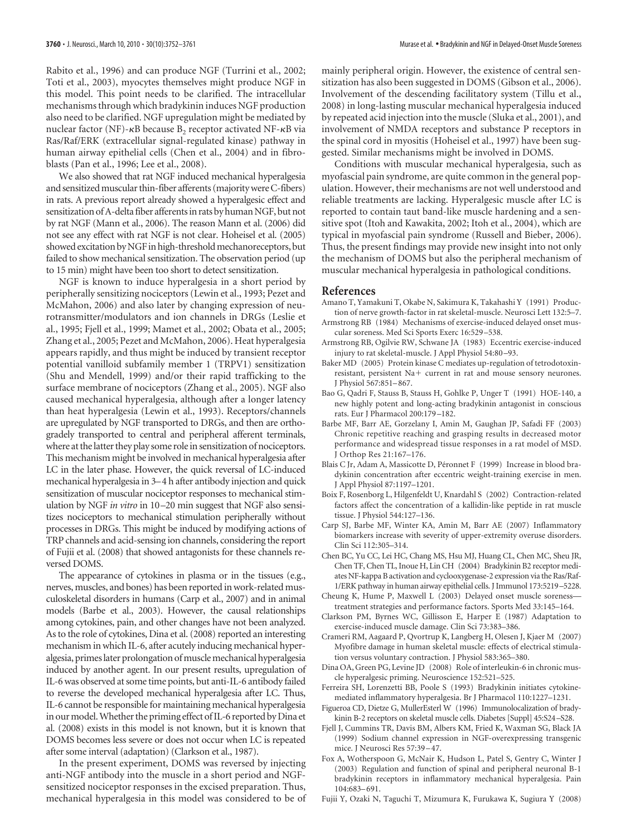Rabito et al., 1996) and can produce NGF (Turrini et al., 2002; Toti et al., 2003), myocytes themselves might produce NGF in this model. This point needs to be clarified. The intracellular mechanisms through which bradykinin induces NGF production also need to be clarified. NGF upregulation might be mediated by nuclear factor (NF)- $\kappa$ B because B<sub>2</sub> receptor activated NF- $\kappa$ B via Ras/Raf/ERK (extracellular signal-regulated kinase) pathway in human airway epithelial cells (Chen et al., 2004) and in fibroblasts (Pan et al., 1996; Lee et al., 2008).

We also showed that rat NGF induced mechanical hyperalgesia and sensitized muscular thin-fiber afferents (majority were C-fibers) in rats. A previous report already showed a hyperalgesic effect and sensitization of A-delta fiber afferents in rats by human NGF, but not by rat NGF (Mann et al., 2006). The reason Mann et al. (2006) did not see any effect with rat NGF is not clear. Hoheisel et al. (2005) showed excitation by NGF in high-threshold mechanoreceptors, but failed to show mechanical sensitization. The observation period (up to 15 min) might have been too short to detect sensitization.

NGF is known to induce hyperalgesia in a short period by peripherally sensitizing nociceptors (Lewin et al., 1993; Pezet and McMahon, 2006) and also later by changing expression of neurotransmitter/modulators and ion channels in DRGs (Leslie et al., 1995; Fjell et al., 1999; Mamet et al., 2002; Obata et al., 2005; Zhang et al., 2005; Pezet and McMahon, 2006). Heat hyperalgesia appears rapidly, and thus might be induced by transient receptor potential vanilloid subfamily member 1 (TRPV1) sensitization (Shu and Mendell, 1999) and/or their rapid trafficking to the surface membrane of nociceptors (Zhang et al., 2005). NGF also caused mechanical hyperalgesia, although after a longer latency than heat hyperalgesia (Lewin et al., 1993). Receptors/channels are upregulated by NGF transported to DRGs, and then are orthogradely transported to central and peripheral afferent terminals, where at the latter they play some role in sensitization of nociceptors. This mechanism might be involved in mechanical hyperalgesia after LC in the later phase. However, the quick reversal of LC-induced mechanical hyperalgesia in 3–4 h after antibody injection and quick sensitization of muscular nociceptor responses to mechanical stimulation by NGF *in vitro* in 10-20 min suggest that NGF also sensitizes nociceptors to mechanical stimulation peripherally without processes in DRGs. This might be induced by modifying actions of TRP channels and acid-sensing ion channels, considering the report of Fujii et al. (2008) that showed antagonists for these channels reversed DOMS.

The appearance of cytokines in plasma or in the tissues (e.g., nerves, muscles, and bones) has been reported in work-related musculoskeletal disorders in humans (Carp et al., 2007) and in animal models (Barbe et al., 2003). However, the causal relationships among cytokines, pain, and other changes have not been analyzed. As to the role of cytokines, Dina et al. (2008) reported an interesting mechanism in which IL-6, after acutely inducing mechanical hyperalgesia, primes later prolongation of muscle mechanical hyperalgesia induced by another agent. In our present results, upregulation of IL-6 was observed at some time points, but anti-IL-6 antibody failed to reverse the developed mechanical hyperalgesia after LC. Thus, IL-6 cannot be responsible for maintaining mechanical hyperalgesia in our model. Whether the priming effect of IL-6 reported by Dina et al. (2008) exists in this model is not known, but it is known that DOMS becomes less severe or does not occur when LC is repeated after some interval (adaptation) (Clarkson et al., 1987).

In the present experiment, DOMS was reversed by injecting anti-NGF antibody into the muscle in a short period and NGFsensitized nociceptor responses in the excised preparation. Thus, mechanical hyperalgesia in this model was considered to be of mainly peripheral origin. However, the existence of central sensitization has also been suggested in DOMS (Gibson et al., 2006). Involvement of the descending facilitatory system (Tillu et al., 2008) in long-lasting muscular mechanical hyperalgesia induced by repeated acid injection into the muscle (Sluka et al., 2001), and involvement of NMDA receptors and substance P receptors in the spinal cord in myositis (Hoheisel et al., 1997) have been suggested. Similar mechanisms might be involved in DOMS.

Conditions with muscular mechanical hyperalgesia, such as myofascial pain syndrome, are quite common in the general population. However, their mechanisms are not well understood and reliable treatments are lacking. Hyperalgesic muscle after LC is reported to contain taut band-like muscle hardening and a sensitive spot (Itoh and Kawakita, 2002; Itoh et al., 2004), which are typical in myofascial pain syndrome (Russell and Bieber, 2006). Thus, the present findings may provide new insight into not only the mechanism of DOMS but also the peripheral mechanism of muscular mechanical hyperalgesia in pathological conditions.

#### **References**

- Amano T, Yamakuni T, Okabe N, Sakimura K, Takahashi Y (1991) Production of nerve growth-factor in rat skeletal-muscle. Neurosci Lett 132:5–7.
- Armstrong RB (1984) Mechanisms of exercise-induced delayed onset muscular soreness. Med Sci Sports Exerc 16:529 –538.
- Armstrong RB, Ogilvie RW, Schwane JA (1983) Eccentric exercise-induced injury to rat skeletal-muscle. J Appl Physiol 54:80 –93.
- Baker MD (2005) Protein kinase C mediates up-regulation of tetrodotoxinresistant, persistent Na+ current in rat and mouse sensory neurones. J Physiol 567:851–867.
- Bao G, Qadri F, Stauss B, Stauss H, Gohlke P, Unger T (1991) HOE-140, a new highly potent and long-acting bradykinin antagonist in conscious rats. Eur J Pharmacol 200:179 –182.
- Barbe MF, Barr AE, Gorzelany I, Amin M, Gaughan JP, Safadi FF (2003) Chronic repetitive reaching and grasping results in decreased motor performance and widespread tissue responses in a rat model of MSD. J Orthop Res 21:167–176.
- Blais C Jr, Adam A, Massicotte D, Péronnet F (1999) Increase in blood bradykinin concentration after eccentric weight-training exercise in men. J Appl Physiol 87:1197–1201.
- Boix F, Rosenborg L, Hilgenfeldt U, Knardahl S (2002) Contraction-related factors affect the concentration of a kallidin-like peptide in rat muscle tissue. J Physiol 544:127–136.
- Carp SJ, Barbe MF, Winter KA, Amin M, Barr AE (2007) Inflammatory biomarkers increase with severity of upper-extremity overuse disorders. Clin Sci 112:305–314.
- Chen BC, Yu CC, Lei HC, Chang MS, Hsu MJ, Huang CL, Chen MC, Sheu JR, Chen TF, Chen TL, Inoue H, Lin CH (2004) Bradykinin B2 receptor mediates NF-kappa B activation and cyclooxygenase-2 expression via the Ras/Raf-1/ERK pathway in human airway epithelial cells. J Immunol 173:5219 –5228.
- Cheung K, Hume P, Maxwell L (2003) Delayed onset muscle soreness treatment strategies and performance factors. Sports Med 33:145–164.
- Clarkson PM, Byrnes WC, Gillisson E, Harper E (1987) Adaptation to exercise-induced muscle damage. Clin Sci 73:383–386.
- Crameri RM, Aagaard P, Qvortrup K, Langberg H, Olesen J, Kjaer M (2007) Myofibre damage in human skeletal muscle: effects of electrical stimulation versus voluntary contraction. J Physiol 583:365–380.
- Dina OA, Green PG, Levine JD (2008) Role of interleukin-6 in chronic muscle hyperalgesic priming. Neuroscience 152:521–525.
- Ferreira SH, Lorenzetti BB, Poole S (1993) Bradykinin initiates cytokinemediated inflammatory hyperalgesia. Br J Pharmacol 110:1227–1231.
- Figueroa CD, Dietze G, MullerEsterl W (1996) Immunolocalization of bradykinin B-2 receptors on skeletal muscle cells. Diabetes [Suppl] 45:S24 –S28.
- Fjell J, Cummins TR, Davis BM, Albers KM, Fried K, Waxman SG, Black JA (1999) Sodium channel expression in NGF-overexpressing transgenic mice. J Neurosci Res 57:39 –47.
- Fox A, Wotherspoon G, McNair K, Hudson L, Patel S, Gentry C, Winter J (2003) Regulation and function of spinal and peripheral neuronal B-1 bradykinin receptors in inflammatory mechanical hyperalgesia. Pain 104:683–691.
- Fujii Y, Ozaki N, Taguchi T, Mizumura K, Furukawa K, Sugiura Y (2008)